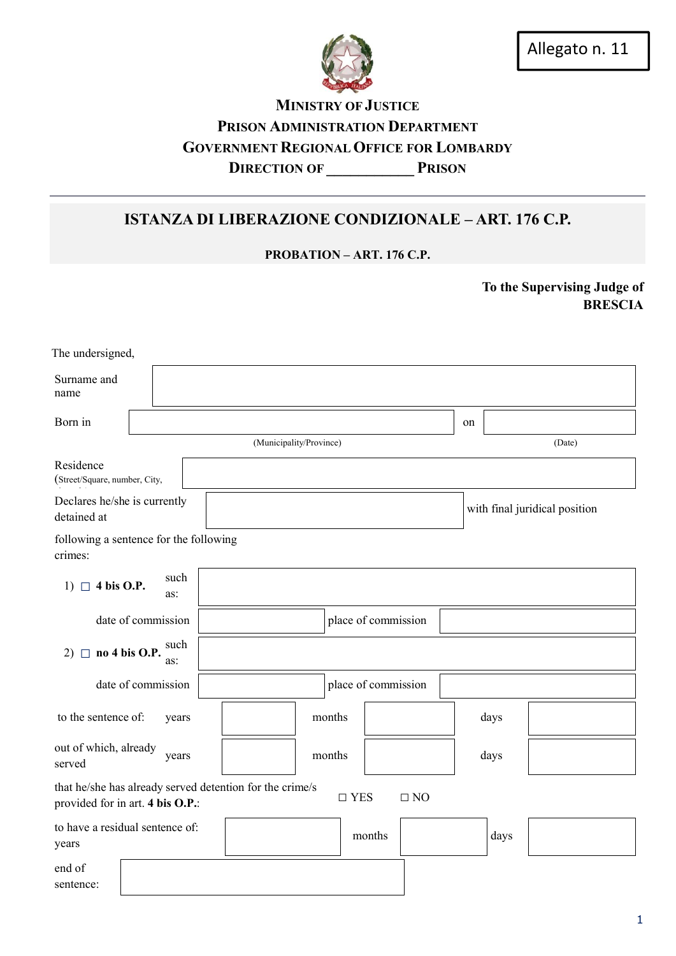

Allegato n. 11

## MINISTRY OF JUSTICE PRISON ADMINISTRATION DEPARTMENT GOVERNMENT REGIONAL OFFICE FOR LOMBARDY DIRECTION OF PRISON

# ISTANZA DI LIBERAZIONE CONDIZIONALE – ART. 176 C.P.

PROBATION – ART. 176 C.P.

To the Supervising Judge of BRESCIA

| The undersigned,                                                                             |             |        |                         |                     |           |    |      |                               |
|----------------------------------------------------------------------------------------------|-------------|--------|-------------------------|---------------------|-----------|----|------|-------------------------------|
| Surname and<br>name                                                                          |             |        |                         |                     |           |    |      |                               |
| Born in                                                                                      |             |        |                         |                     |           | on |      |                               |
|                                                                                              |             |        | (Municipality/Province) |                     |           |    |      | (Date)                        |
| Residence<br>(Street/Square, number, City,                                                   |             |        |                         |                     |           |    |      |                               |
| Declares he/she is currently<br>detained at                                                  |             |        |                         |                     |           |    |      | with final juridical position |
| following a sentence for the following<br>crimes:                                            |             |        |                         |                     |           |    |      |                               |
| 1) $\Box$ 4 bis O.P.                                                                         | such<br>as: |        |                         |                     |           |    |      |                               |
| date of commission                                                                           |             |        | place of commission     |                     |           |    |      |                               |
| 2) $\Box$ no 4 bis O.P.                                                                      | such<br>as: |        |                         |                     |           |    |      |                               |
| date of commission                                                                           |             |        |                         | place of commission |           |    |      |                               |
| to the sentence of:                                                                          | years       |        | months                  |                     |           |    | days |                               |
| out of which, already<br>years<br>served                                                     |             | months |                         |                     | days      |    |      |                               |
| that he/she has already served detention for the crime/s<br>provided for in art. 4 bis O.P.: |             |        |                         | $\square$ YES       | $\Box$ NO |    |      |                               |
| to have a residual sentence of:<br>years                                                     |             |        |                         | months              |           |    | days |                               |
| end of<br>sentence:                                                                          |             |        |                         |                     |           |    |      |                               |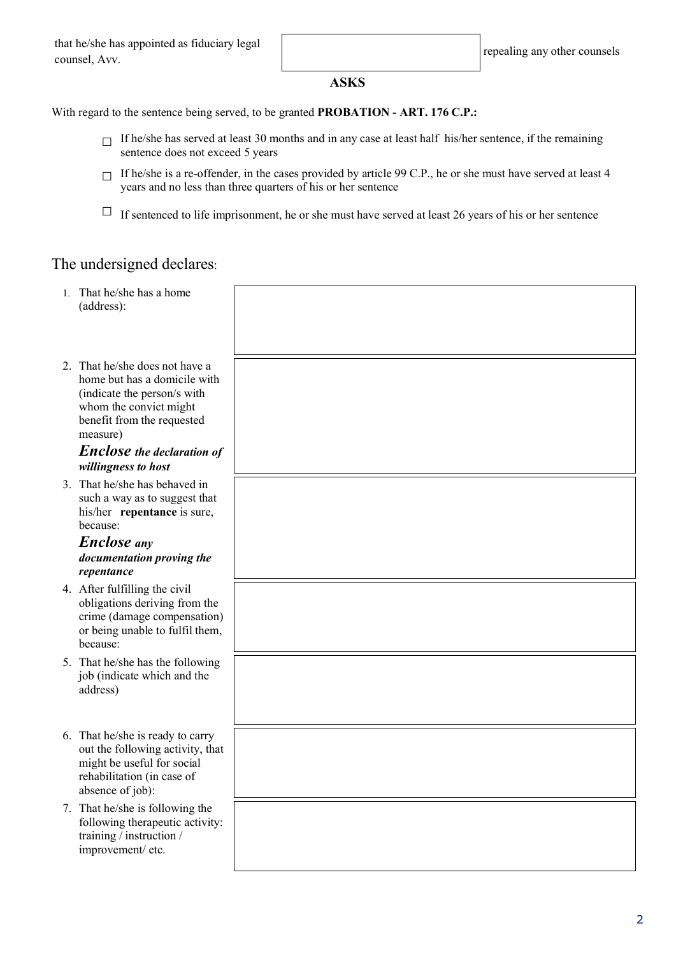### ASKS

With regard to the sentence being served, to be granted PROBATION - ART. 176 C.P.:

- $\Box$  If he/she has served at least 30 months and in any case at least half his/her sentence, if the remaining sentence does not exceed 5 years
- $\Box$  If he/she is a re-offender, in the cases provided by article 99 C.P., he or she must have served at least 4 years and no less than three quarters of his or her sentence
- $\Box$  If sentenced to life imprisonment, he or she must have served at least 26 years of his or her sentence

### The undersigned declares:

| $1_{-}$ | That he/she has a home<br>(address):                                                                                                                              |  |
|---------|-------------------------------------------------------------------------------------------------------------------------------------------------------------------|--|
|         | 2. That he/she does not have a<br>home but has a domicile with<br>(indicate the person/s with<br>whom the convict might<br>benefit from the requested<br>measure) |  |
|         | <b>Enclose</b> the declaration of<br>willingness to host                                                                                                          |  |
|         | 3. That he/she has behaved in<br>such a way as to suggest that<br>his/her repentance is sure,<br>because:                                                         |  |
|         | <b>Enclose</b> any                                                                                                                                                |  |
|         | documentation proving the<br>repentance                                                                                                                           |  |
|         | 4. After fulfilling the civil<br>obligations deriving from the<br>crime (damage compensation)<br>or being unable to fulfil them,<br>because:                      |  |
|         | 5. That he/she has the following<br>job (indicate which and the<br>address)                                                                                       |  |
|         | 6. That he/she is ready to carry<br>out the following activity, that<br>might be useful for social<br>rehabilitation (in case of<br>absence of job):              |  |
|         | 7. That he/she is following the<br>following therapeutic activity:<br>training / instruction /<br>improvement/ etc.                                               |  |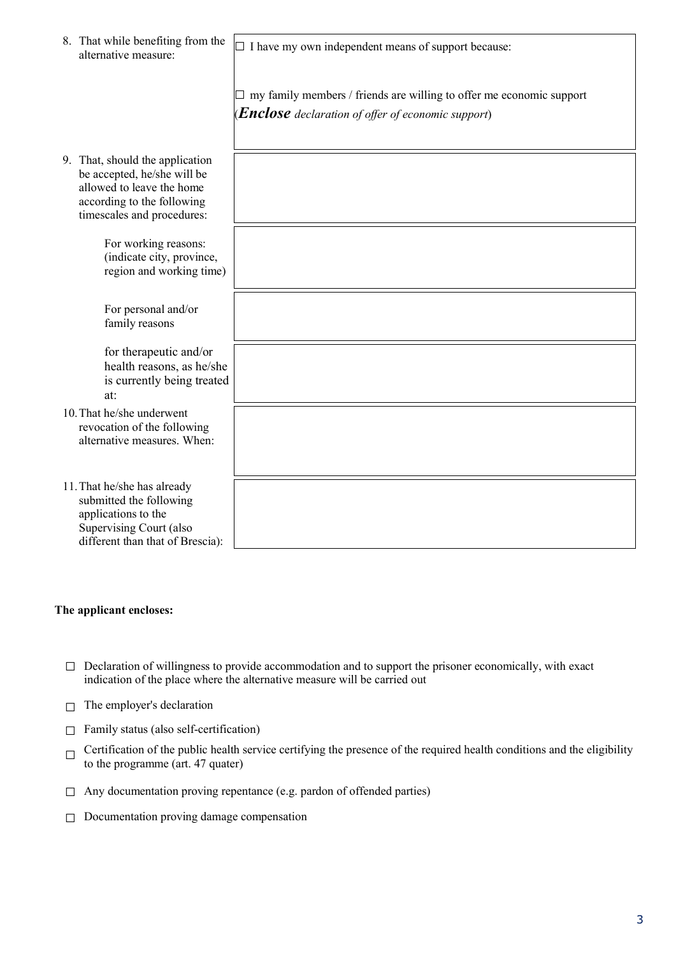|                                                                                         | 8. That while benefiting from the<br>alternative measure:                                                                                               | $\Box$ I have my own independent means of support because:<br>$\Box$ my family members / friends are willing to offer me economic support<br><b>(Enclose</b> declaration of offer of economic support) |
|-----------------------------------------------------------------------------------------|---------------------------------------------------------------------------------------------------------------------------------------------------------|--------------------------------------------------------------------------------------------------------------------------------------------------------------------------------------------------------|
|                                                                                         | 9. That, should the application<br>be accepted, he/she will be<br>allowed to leave the home<br>according to the following<br>timescales and procedures: |                                                                                                                                                                                                        |
|                                                                                         | For working reasons:<br>(indicate city, province,<br>region and working time)                                                                           |                                                                                                                                                                                                        |
|                                                                                         | For personal and/or<br>family reasons                                                                                                                   |                                                                                                                                                                                                        |
|                                                                                         | for therapeutic and/or<br>health reasons, as he/she<br>is currently being treated<br>at:                                                                |                                                                                                                                                                                                        |
| 10. That he/she underwent<br>revocation of the following<br>alternative measures. When: |                                                                                                                                                         |                                                                                                                                                                                                        |
|                                                                                         | 11. That he/she has already<br>submitted the following<br>applications to the<br>Supervising Court (also<br>different than that of Brescia):            |                                                                                                                                                                                                        |

### The applicant encloses:

- $\Box$  Declaration of willingness to provide accommodation and to support the prisoner economically, with exact indication of the place where the alternative measure will be carried out
- $\Box$  The employer's declaration
- $\Box$  Family status (also self-certification)
- $\Box$  Certification of the public health service certifying the presence of the required health conditions and the eligibility to the programme (art. 47 quater)
- $\Box$  Any documentation proving repentance (e.g. pardon of offended parties)
- □ Documentation proving damage compensation